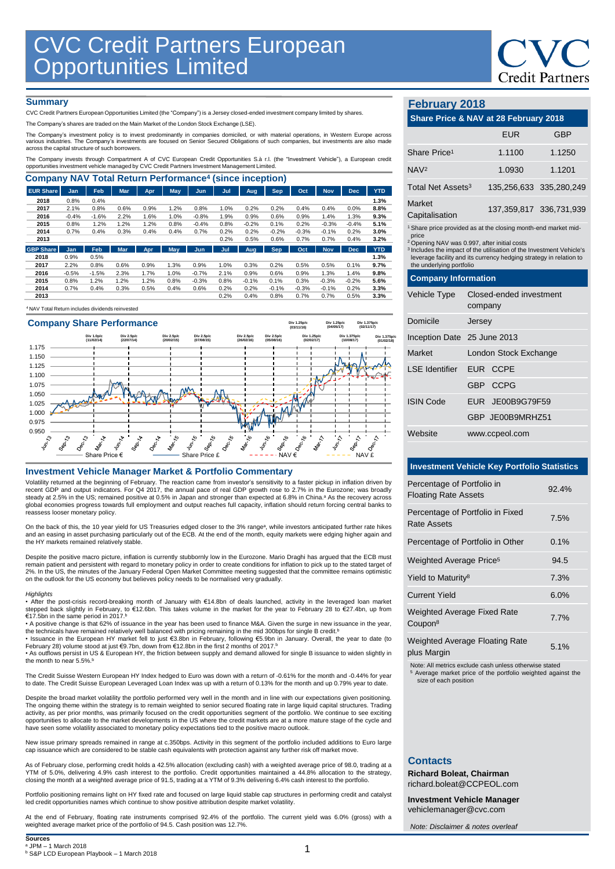

### **Summary**

CVC Credit Partners European Opportunities Limited (the "Company") is a Jersey closed-ended investment company limited by shares.

The Company's shares are traded on the Main Market of the London Stock Exchange (LSE).

The Company's investment policy is to invest predominantly in companies domiciled, or with material operations, in Western Europe across<br>various industries. The Company's investments are focused on Senior Secured Obligatio

The Company invests through Compartment A of CVC European Credit Opportunities S.à r.l. (the "Investment Vehicle"), a European credit<br>opportunities investment vehicle managed by CVC Credit Partners Investment Management Li

| <b>Company NAV Total Return Performance<sup>4</sup> (since inception)</b> |         |         |            |      |      |            |      |         |            |         |            |            |            |
|---------------------------------------------------------------------------|---------|---------|------------|------|------|------------|------|---------|------------|---------|------------|------------|------------|
| <b>EUR Share</b>                                                          | Jan     | Feb     | <b>Mar</b> | Apr  | May  | Jun        | Jul  | Aug     | <b>Sep</b> | Oct     | <b>Nov</b> | <b>Dec</b> | <b>YTD</b> |
| 2018                                                                      | 0.8%    | 0.4%    |            |      |      |            |      |         |            |         |            |            | 1.3%       |
| 2017                                                                      | 2.1%    | 0.8%    | 0.6%       | 0.9% | 1.2% | 0.8%       | 1.0% | 0.2%    | 0.2%       | 0.4%    | 0.4%       | 0.0%       | 8.8%       |
| 2016                                                                      | $-0.4%$ | $-1.6%$ | 2.2%       | 1.6% | 1.0% | $-0.8%$    | 1.9% | 0.9%    | 0.6%       | 0.9%    | 1.4%       | 1.3%       | 9.3%       |
| 2015                                                                      | 0.8%    | 1.2%    | 1.2%       | 1.2% | 0.8% | $-0.4%$    | 0.8% | $-0.2%$ | 0.1%       | 0.2%    | $-0.3%$    | $-0.4%$    | 5.1%       |
| 2014                                                                      | 0.7%    | 0.4%    | 0.3%       | 0.4% | 0.4% | 0.7%       | 0.2% | 0.2%    | $-0.2%$    | $-0.3%$ | $-0.1%$    | 0.2%       | 3.0%       |
| 2013                                                                      |         |         |            |      |      |            | 0.2% | 0.5%    | 0.6%       | 0.7%    | 0.7%       | 0.4%       | 3.2%       |
| <b>GBP Share</b>                                                          | Jan     | Feb     | <b>Mar</b> | Apr. | May  | <b>Jun</b> | Jul  | Aug     | <b>Sep</b> | Oct     | <b>Nov</b> | <b>Dec</b> | <b>YTD</b> |
| 2018                                                                      | 0.9%    | 0.5%    |            |      |      |            |      |         |            |         |            |            | 1.3%       |
| 2017                                                                      | 2.2%    | 0.8%    | 0.6%       | 0.9% | 1.3% | 0.9%       | 1.0% | 0.3%    | 0.2%       | 0.5%    | 0.5%       | 0.1%       | 9.7%       |
| 2016                                                                      | $-0.5%$ | $-1.5%$ | 2.3%       | 1.7% | 1.0% | $-0.7%$    | 2.1% | 0.9%    | 0.6%       | 0.9%    | 1.3%       | 1.4%       | 9.8%       |
| 2015                                                                      | 0.8%    | 1.2%    | 1.2%       | 1.2% | 0.8% | $-0.3%$    | 0.8% | $-0.1%$ | 0.1%       | 0.3%    | $-0.3%$    | $-0.2%$    | 5.6%       |
| 2014                                                                      | 0.7%    | 0.4%    | 0.3%       | 0.5% | 0.4% | 0.6%       | 0.2% | 0.2%    | $-0.1%$    | $-0.3%$ | $-0.1%$    | 0.2%       | 3.3%       |
| 2013                                                                      |         |         |            |      |      |            | 0.2% | 0.4%    | 0.8%       | 0.7%    | 0.7%       | 0.5%       | 3.3%       |

<sup>4</sup>NAV Total Return includes dividends reinvested



### **Investment Vehicle Manager Market & Portfolio Commentary**

Volatility returned at the beginning of February. The reaction came from investor's sensitivity to a faster pickup in inflation driven by<br>recent GDP and output indicators. For Q4 2017, the annual pace of real GDP growth ro steady at 2.5% in the US; remained positive at 0.5% in Japan and stronger than expected at 6.8% in China.ª As the recovery across<br>global economies progress towards full employment and output reaches full capacity, inflatio reassess looser monetary policy.

On the back of this, the 10 year yield for US Treasuries edged closer to the 3% range<sup>a</sup>, while investors anticipated further rate hikes and an easing in asset purchasing particularly out of the ECB. At the end of the month, equity markets were edging higher again and the HY markets remained relatively stable.

Despite the positive macro picture, inflation is currently stubbornly low in the Eurozone. Mario Draghi has argued that the ECB must remain patient and persistent with regard to monetary policy in order to create conditions for inflation to pick up to the stated target of 2%. In the US, the minutes of the January Federal Open Market Committee meeting suggested that the committee remains optimistic on the outlook for the US economy but believes policy needs to be normalised very gradually.

### *Highlights*

• After the post-crisis record-breaking month of January with €14.8bn of deals launched, activity in the leveraged loan market stepped back slightly in February, to €12.6bn. This takes volume in the market for the year to February 28 to €27.4bn, up from €17.5bn in the same period in 2017. b

• A positive change is that 62% of issuance in the year has been used to finance M&A. Given the surge in new issuance in the year, the technicals have remained relatively well balanced with pricing remaining in the mid 300bps for single B credit.<sup>t</sup>

• Issuance in the European HY market fell to just €3.8bn in February, following €5.9bn in January. Overall, the year to date (to<br>February 28) volume stood at just €9.7bn, down from €12.8bn in the first 2 months of 2017.<sup>b</sup>

• As outflows persist in US & European HY, the friction between supply and demand allowed for single B issuance to widen slightly in the month to near 5.5%. b

The Credit Suisse Western European HY Index hedged to Euro was down with a return of -0.61% for the month and -0.44% for year to date. The Credit Suisse European Leveraged Loan Index was up with a return of 0.13% for the month and up 0.79% year to da

Despite the broad market volatility the portfolio performed very well in the month and in line with our expectations given positioning. The ongoing theme within the strategy is to remain weighted to senior secured floating rate in large liquid capital structures. Trading<br>activity, as per prior months, was primarily focused on the credit opportunities segme opportunities to allocate to the market developments in the US where the credit markets are at a more mature stage of the cycle and have seen some volatility associated to monetary policy expectations tied to the positive macro outlook.

New issue primary spreads remained in range at c.350bps. Activity in this segment of the portfolio included additions to Euro large<br>cap issuance which are considered to be stable cash equivalents with protection against an

As of February close, performing credit holds a 42.5% allocation (excluding cash) with a weighted average price of 98.0, trading at a YTM of 5.0%, delivering 4.9% cash interest to the portfolio. Credit opportunities maintained a 44.8% allocation to the strategy, closing the month at a weighted average price of 91.5, trading at a YTM of 9.3% delivering 6.4% cash interest to the portfolio.

Portfolio positioning remains light on HY fixed rate and focused on large liquid stable cap structures in performing credit and catalyst led credit opportunities names which continue to show positive attribution despite market volatility.

At the end of February, floating rate instruments comprised 92.4% of the portfolio. The current yield was 6.0% (gross) with a weighted average market price of the portfolio of 94.5. Cash position was 12.7%.

### **February 2018**

## **Share Price & NAV at 28 February 2018** EUR GBP

| Share Price <sup>1</sup>                                                                                                                                                                                                                                                                                                           |                                    | 1.1100           | 1.1250                  |  |  |  |
|------------------------------------------------------------------------------------------------------------------------------------------------------------------------------------------------------------------------------------------------------------------------------------------------------------------------------------|------------------------------------|------------------|-------------------------|--|--|--|
| NAV <sup>2</sup>                                                                                                                                                                                                                                                                                                                   |                                    | 1.0930           | 1.1201                  |  |  |  |
| Total Net Assets <sup>3</sup>                                                                                                                                                                                                                                                                                                      |                                    |                  | 135,256,633 335,280,249 |  |  |  |
| Market<br>Capitalisation                                                                                                                                                                                                                                                                                                           |                                    |                  | 137,359,817 336,731.939 |  |  |  |
| <sup>1</sup> Share price provided as at the closing month-end market mid-<br>price<br><sup>2</sup> Opening NAV was 0.997, after initial costs<br><sup>3</sup> Includes the impact of the utilisation of the Investment Vehicle's<br>leverage facility and its currency hedging strategy in relation to<br>the underlying portfolio |                                    |                  |                         |  |  |  |
| <b>Company Information</b>                                                                                                                                                                                                                                                                                                         |                                    |                  |                         |  |  |  |
| Vehicle Type                                                                                                                                                                                                                                                                                                                       | Closed-ended investment<br>company |                  |                         |  |  |  |
| Domicile                                                                                                                                                                                                                                                                                                                           | Jersey                             |                  |                         |  |  |  |
| Inception Date 25 June 2013                                                                                                                                                                                                                                                                                                        |                                    |                  |                         |  |  |  |
| Market                                                                                                                                                                                                                                                                                                                             | London Stock Exchange              |                  |                         |  |  |  |
| I SF Identifier                                                                                                                                                                                                                                                                                                                    | EUR CCPE                           |                  |                         |  |  |  |
|                                                                                                                                                                                                                                                                                                                                    | GBP CCPG                           |                  |                         |  |  |  |
| <b>ISIN Code</b>                                                                                                                                                                                                                                                                                                                   |                                    | EUR JE00B9G79F59 |                         |  |  |  |
|                                                                                                                                                                                                                                                                                                                                    |                                    | GBP JE00B9MRHZ51 |                         |  |  |  |
| Website                                                                                                                                                                                                                                                                                                                            |                                    | www.ccpeol.com   |                         |  |  |  |

### **Investment Vehicle Key Portfolio Statistics**

| Percentage of Portfolio in<br><b>Floating Rate Assets</b> | 92.4%        |
|-----------------------------------------------------------|--------------|
| Percentage of Portfolio in Fixed<br>Rate Assets           | 7.5%         |
| Percentage of Portfolio in Other                          | $0.1\%$      |
| Weighted Average Price <sup>5</sup>                       | 94.5         |
| Yield to Maturity <sup>8</sup>                            | 7.3%         |
| <b>Current Yield</b>                                      | 6.0%         |
| Weighted Average Fixed Rate<br>Coupon <sup>8</sup>        | 7.7%         |
| <b>Weighted Average Floating Rate</b>                     | $F A \Omega$ |

plus Margin 6.1%<br>blus Margin

Note: All metrics exclude cash unless otherwise stated

<sup>5</sup> Average market price of the portfolio weighted against the size of each position

### **Contacts**

**Richard Boleat, Chairman**  richard.boleat@CCPEOL.com

**Investment Vehicle Manager** vehiclemanager@cvc.com

*Note: Disclaimer & notes overleaf*